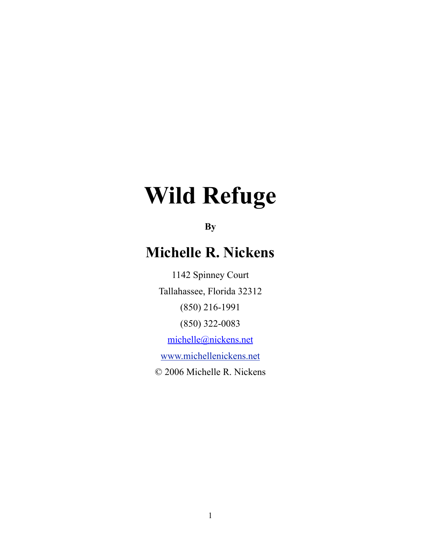## **Wild Refuge**

**By** 

## **Michelle R. Nickens**

1142 Spinney Court Tallahassee, Florida 32312 (850) 216-1991 (850) 322-0083 [michelle@nickens.net](mailto:michelle@nickens.net)

[www.michellenickens.net](http://www.michellenickens.net)

[© 2006 Michelle R. Nicken](http://www.michellenickens.net)s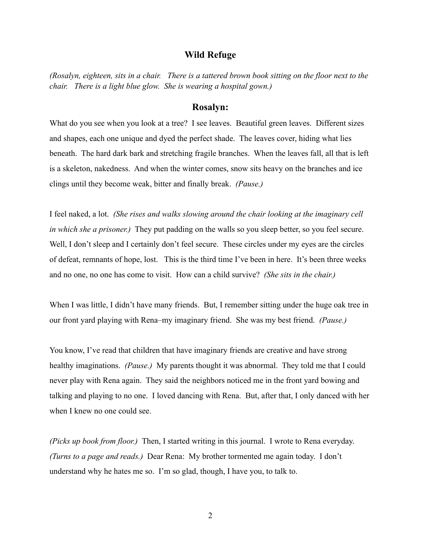## **Wild Refuge**

*(Rosalyn, eighteen, sits in a chair. There is a tattered brown book sitting on the floor next to the chair. There is a light blue glow. She is wearing a hospital gown.)*

## **Rosalyn:**

What do you see when you look at a tree? I see leaves. Beautiful green leaves. Different sizes and shapes, each one unique and dyed the perfect shade. The leaves cover, hiding what lies beneath. The hard dark bark and stretching fragile branches. When the leaves fall, all that is left is a skeleton, nakedness. And when the winter comes, snow sits heavy on the branches and ice clings until they become weak, bitter and finally break. *(Pause.)*

I feel naked, a lot. *(She rises and walks slowing around the chair looking at the imaginary cell in which she a prisoner.)* They put padding on the walls so you sleep better, so you feel secure. Well, I don't sleep and I certainly don't feel secure. These circles under my eyes are the circles of defeat, remnants of hope, lost. This is the third time I've been in here. It's been three weeks and no one, no one has come to visit. How can a child survive? *(She sits in the chair.)*

When I was little, I didn't have many friends. But, I remember sitting under the huge oak tree in our front yard playing with Rena–my imaginary friend. She was my best friend. *(Pause.)*

You know, I've read that children that have imaginary friends are creative and have strong healthy imaginations. *(Pause.)* My parents thought it was abnormal. They told me that I could never play with Rena again. They said the neighbors noticed me in the front yard bowing and talking and playing to no one. I loved dancing with Rena. But, after that, I only danced with her when I knew no one could see.

*(Picks up book from floor.)* Then, I started writing in this journal. I wrote to Rena everyday. *(Turns to a page and reads.)* Dear Rena: My brother tormented me again today. I don't understand why he hates me so. I'm so glad, though, I have you, to talk to.

2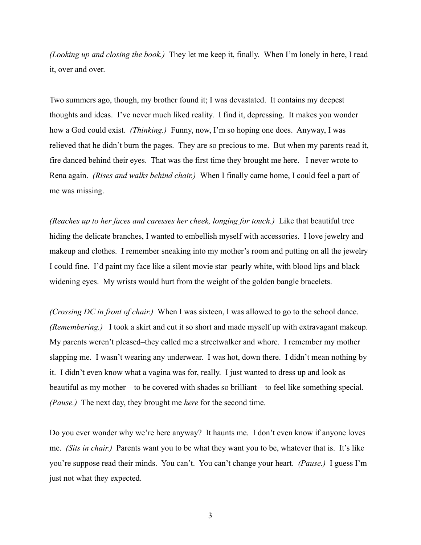*(Looking up and closing the book.)* They let me keep it, finally. When I'm lonely in here, I read it, over and over.

Two summers ago, though, my brother found it; I was devastated. It contains my deepest thoughts and ideas. I've never much liked reality. I find it, depressing. It makes you wonder how a God could exist. *(Thinking.)* Funny, now, I'm so hoping one does. Anyway, I was relieved that he didn't burn the pages. They are so precious to me. But when my parents read it, fire danced behind their eyes. That was the first time they brought me here. I never wrote to Rena again. *(Rises and walks behind chair.)* When I finally came home, I could feel a part of me was missing.

*(Reaches up to her faces and caresses her cheek, longing for touch.)* Like that beautiful tree hiding the delicate branches, I wanted to embellish myself with accessories. I love jewelry and makeup and clothes. I remember sneaking into my mother's room and putting on all the jewelry I could fine. I'd paint my face like a silent movie star–pearly white, with blood lips and black widening eyes. My wrists would hurt from the weight of the golden bangle bracelets.

*(Crossing DC in front of chair.)* When I was sixteen, I was allowed to go to the school dance. *(Remembering.)* I took a skirt and cut it so short and made myself up with extravagant makeup. My parents weren't pleased–they called me a streetwalker and whore. I remember my mother slapping me. I wasn't wearing any underwear. I was hot, down there. I didn't mean nothing by it. I didn't even know what a vagina was for, really. I just wanted to dress up and look as beautiful as my mother—to be covered with shades so brilliant—to feel like something special. *(Pause.)* The next day, they brought me *here* for the second time.

Do you ever wonder why we're here anyway? It haunts me. I don't even know if anyone loves me. *(Sits in chair.)* Parents want you to be what they want you to be, whatever that is. It's like you're suppose read their minds. You can't. You can't change your heart. *(Pause.)* I guess I'm just not what they expected.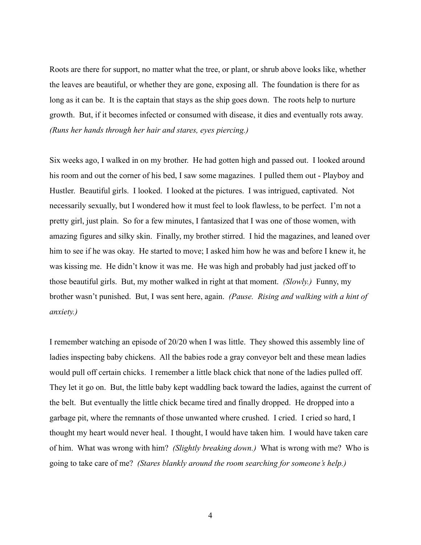Roots are there for support, no matter what the tree, or plant, or shrub above looks like, whether the leaves are beautiful, or whether they are gone, exposing all. The foundation is there for as long as it can be. It is the captain that stays as the ship goes down. The roots help to nurture growth. But, if it becomes infected or consumed with disease, it dies and eventually rots away. *(Runs her hands through her hair and stares, eyes piercing.)*

Six weeks ago, I walked in on my brother. He had gotten high and passed out. I looked around his room and out the corner of his bed, I saw some magazines. I pulled them out - Playboy and Hustler. Beautiful girls. I looked. I looked at the pictures. I was intrigued, captivated. Not necessarily sexually, but I wondered how it must feel to look flawless, to be perfect. I'm not a pretty girl, just plain. So for a few minutes, I fantasized that I was one of those women, with amazing figures and silky skin. Finally, my brother stirred. I hid the magazines, and leaned over him to see if he was okay. He started to move; I asked him how he was and before I knew it, he was kissing me. He didn't know it was me. He was high and probably had just jacked off to those beautiful girls. But, my mother walked in right at that moment. *(Slowly.)* Funny, my brother wasn't punished. But, I was sent here, again. *(Pause. Rising and walking with a hint of anxiety.)*

I remember watching an episode of 20/20 when I was little. They showed this assembly line of ladies inspecting baby chickens. All the babies rode a gray conveyor belt and these mean ladies would pull off certain chicks. I remember a little black chick that none of the ladies pulled off. They let it go on. But, the little baby kept waddling back toward the ladies, against the current of the belt. But eventually the little chick became tired and finally dropped. He dropped into a garbage pit, where the remnants of those unwanted where crushed. I cried. I cried so hard, I thought my heart would never heal. I thought, I would have taken him. I would have taken care of him. What was wrong with him? *(Slightly breaking down.)* What is wrong with me? Who is going to take care of me? *(Stares blankly around the room searching for someone's help.)*

4